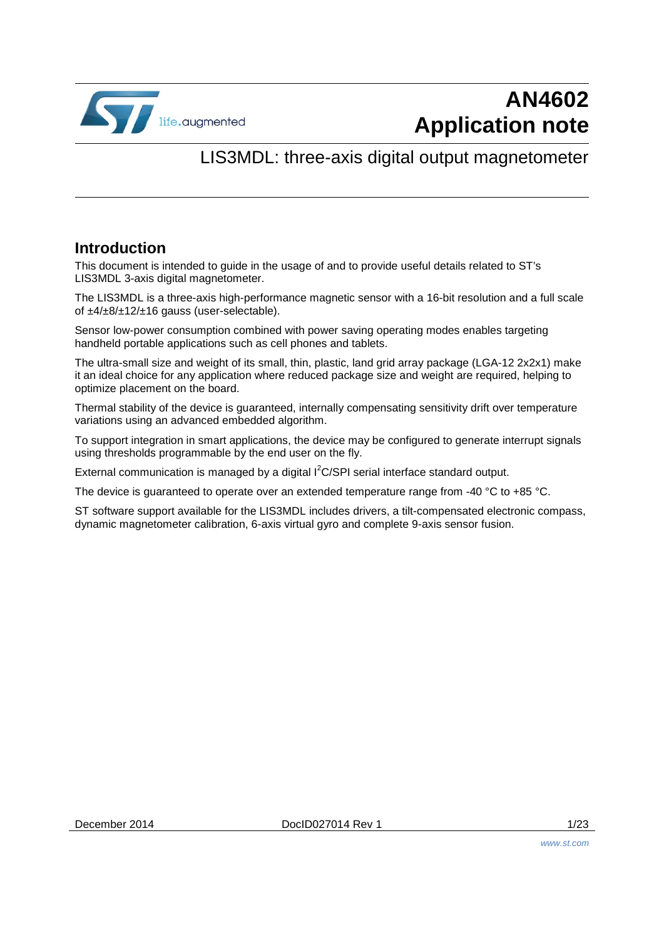

# **AN4602 Application note**

### LIS3MDL: three-axis digital output magnetometer

#### **Introduction**

This document is intended to guide in the usage of and to provide useful details related to ST's LIS3MDL 3-axis digital magnetometer.

The LIS3MDL is a three-axis high-performance magnetic sensor with a 16-bit resolution and a full scale of ±4/±8/±12/±16 gauss (user-selectable).

Sensor low-power consumption combined with power saving operating modes enables targeting handheld portable applications such as cell phones and tablets.

The ultra-small size and weight of its small, thin, plastic, land grid array package (LGA-12 2x2x1) make it an ideal choice for any application where reduced package size and weight are required, helping to optimize placement on the board.

Thermal stability of the device is guaranteed, internally compensating sensitivity drift over temperature variations using an advanced embedded algorithm.

To support integration in smart applications, the device may be configured to generate interrupt signals using thresholds programmable by the end user on the fly.

External communication is managed by a digital  $I^2C/SPI$  serial interface standard output.

The device is guaranteed to operate over an extended temperature range from -40 °C to +85 °C.

ST software support available for the LIS3MDL includes drivers, a tilt-compensated electronic compass, dynamic magnetometer calibration, 6-axis virtual gyro and complete 9-axis sensor fusion.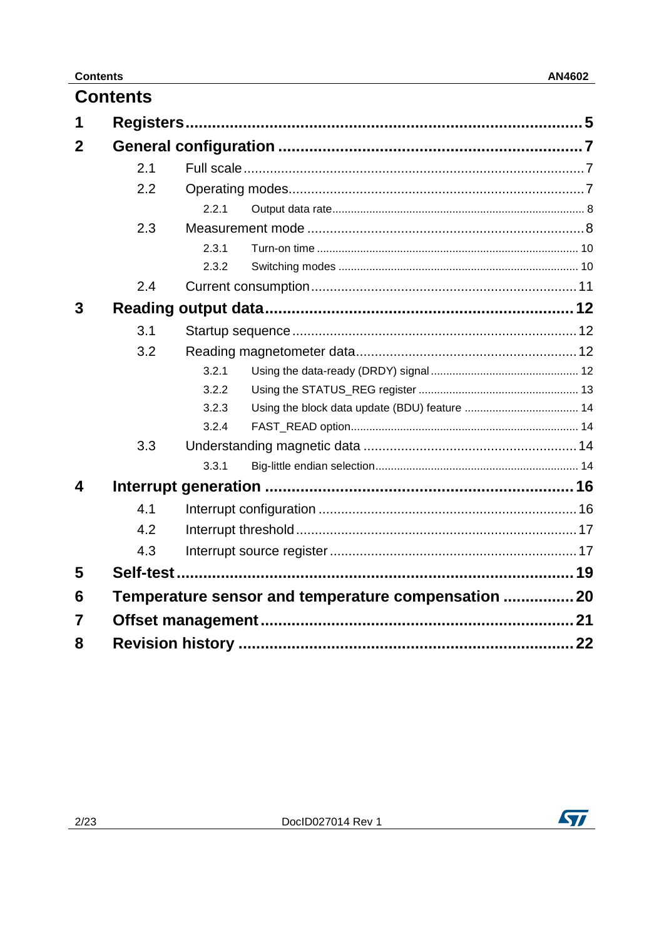|             | <b>Contents</b> |       |                                                     |  |
|-------------|-----------------|-------|-----------------------------------------------------|--|
|             |                 |       |                                                     |  |
| $\mathbf 2$ |                 |       |                                                     |  |
|             | 2.1             |       |                                                     |  |
|             | 2.2             |       |                                                     |  |
|             |                 | 2.2.1 |                                                     |  |
|             | 2.3             |       |                                                     |  |
|             |                 | 231   |                                                     |  |
|             |                 | 2.3.2 |                                                     |  |
|             | 2.4             |       |                                                     |  |
| 3           |                 |       |                                                     |  |
|             | 3.1             |       |                                                     |  |
|             | 3.2             |       |                                                     |  |
|             |                 | 3.2.1 |                                                     |  |
|             |                 | 3.2.2 |                                                     |  |
|             |                 | 3.2.3 |                                                     |  |
|             |                 | 3.2.4 |                                                     |  |
|             | 3.3             |       |                                                     |  |
|             |                 | 3.3.1 |                                                     |  |
| 4           |                 |       |                                                     |  |
|             | 4.1             |       |                                                     |  |
|             | 4.2             |       |                                                     |  |
|             | 4.3             |       |                                                     |  |
| 5           |                 |       |                                                     |  |
| 6           |                 |       | Temperature sensor and temperature compensation  20 |  |
| 7           |                 |       |                                                     |  |
| 8           |                 |       |                                                     |  |
|             |                 |       |                                                     |  |

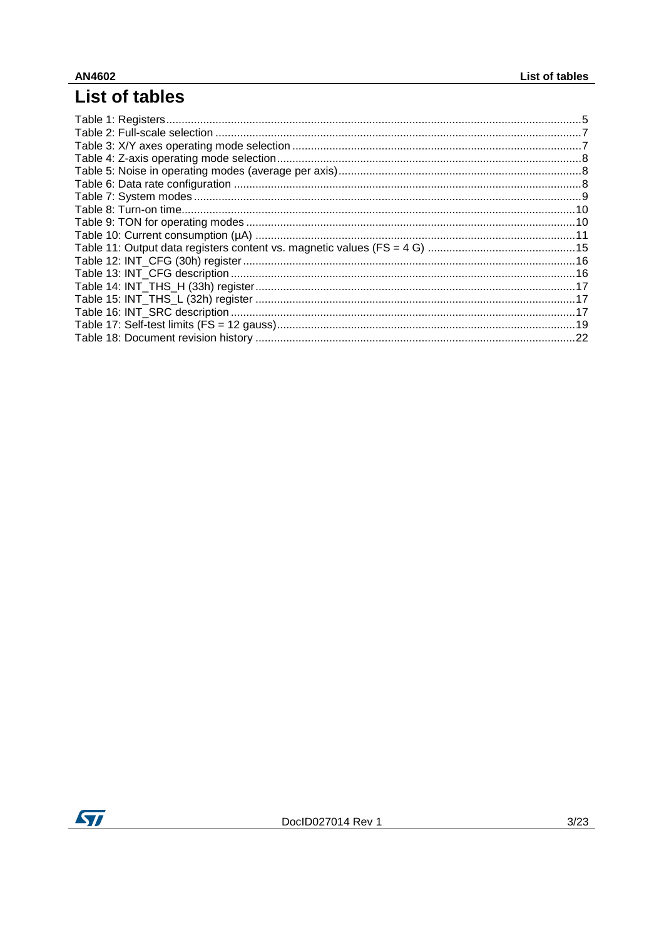## List of tables

| .22 |
|-----|
|     |

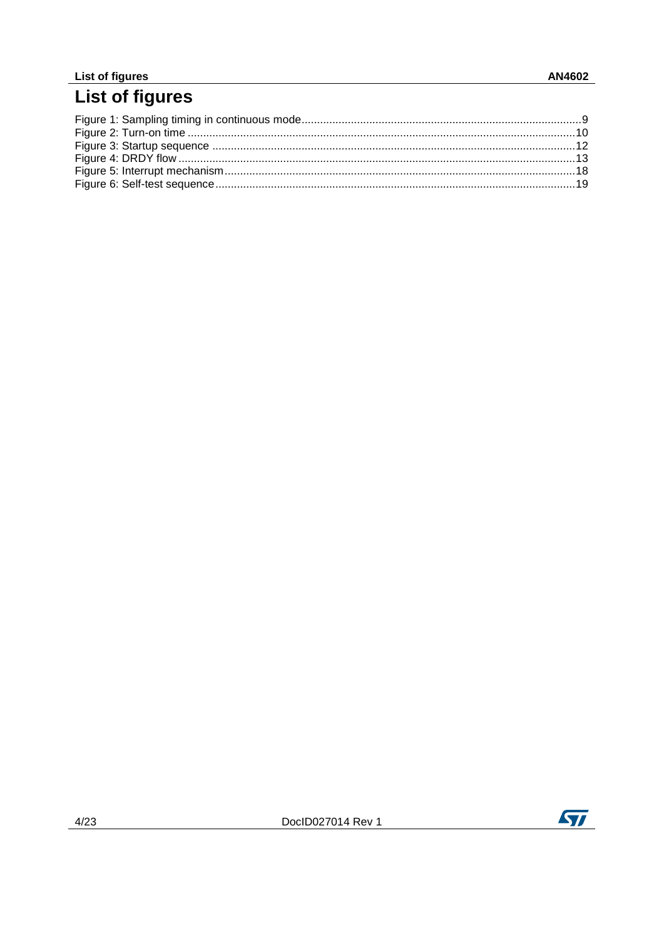#### List of figures

# List of figures

<u> 1980 - Jan Samuel Barbara, martin d</u>

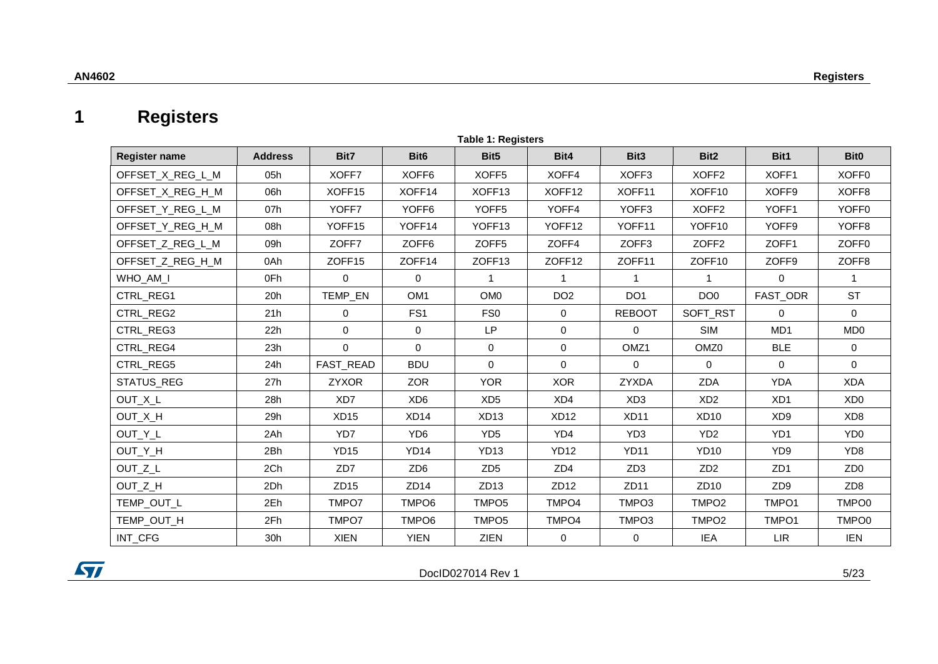### **1 Registers**

| <b>Table 1: Registers</b> |                |                    |                   |                    |                    |                    |                    |                   |                   |
|---------------------------|----------------|--------------------|-------------------|--------------------|--------------------|--------------------|--------------------|-------------------|-------------------|
| <b>Register name</b>      | <b>Address</b> | Bit7               | Bit <sub>6</sub>  | Bit <sub>5</sub>   | Bit4               | Bit <sub>3</sub>   | Bit <sub>2</sub>   | Bit1              | Bit <sub>0</sub>  |
| OFFSET X REG L M          | 05h            | XOFF7              | XOFF <sub>6</sub> | XOFF <sub>5</sub>  | XOFF4              | XOFF3              | XOFF <sub>2</sub>  | XOFF1             | XOFF <sub>0</sub> |
| OFFSET_X_REG_H_M          | 06h            | XOFF <sub>15</sub> | XOFF14            | XOFF13             | XOFF12             | XOFF11             | XOFF <sub>10</sub> | XOFF9             | XOFF8             |
| OFFSET Y REG L M          | 07h            | YOFF7              | YOFF <sub>6</sub> | YOFF <sub>5</sub>  | YOFF4              | YOFF3              | XOFF <sub>2</sub>  | YOFF1             | YOFF <sub>0</sub> |
| OFFSET Y REG H M          | 08h            | YOFF15             | YOFF14            | YOFF <sub>13</sub> | YOFF <sub>12</sub> | YOFF <sub>11</sub> | YOFF <sub>10</sub> | YOFF <sub>9</sub> | YOFF8             |
| OFFSET Z REG L M          | 09h            | ZOFF7              | ZOFF6             | ZOFF <sub>5</sub>  | ZOFF4              | ZOFF3              | ZOFF <sub>2</sub>  | ZOFF1             | ZOFF <sub>0</sub> |
| OFFSET_Z_REG_H_M          | 0Ah            | ZOFF15             | ZOFF14            | ZOFF13             | ZOFF12             | ZOFF11             | ZOFF10             | ZOFF9             | ZOFF <sub>8</sub> |
| WHO_AM_I                  | 0Fh            | $\mathbf 0$        | $\Omega$          | $\mathbf{1}$       | $\mathbf 1$        | $\overline{1}$     | $\mathbf{1}$       | $\mathbf 0$       |                   |
| CTRL_REG1                 | 20h            | TEMP_EN            | OM <sub>1</sub>   | OM <sub>0</sub>    | DO <sub>2</sub>    | DO <sub>1</sub>    | DO <sub>0</sub>    | FAST_ODR          | <b>ST</b>         |
| CTRL_REG2                 | 21h            | 0                  | FS <sub>1</sub>   | FS <sub>0</sub>    | $\mathbf 0$        | <b>REBOOT</b>      | SOFT_RST           | $\Omega$          | $\mathbf{0}$      |
| CTRL_REG3                 | 22h            | 0                  | $\mathbf 0$       | LP                 | 0                  | $\Omega$           | SIM                | MD1               | MD <sub>0</sub>   |
| CTRL_REG4                 | 23h            | $\mathbf 0$        | $\Omega$          | $\mathbf 0$        | 0                  | OMZ <sub>1</sub>   | OMZ <sub>0</sub>   | <b>BLE</b>        | $\mathbf{0}$      |
| CTRL_REG5                 | 24h            | FAST_READ          | <b>BDU</b>        | $\Omega$           | $\mathbf 0$        | $\mathbf 0$        | $\Omega$           | $\Omega$          | $\Omega$          |
| STATUS_REG                | 27h            | <b>ZYXOR</b>       | <b>ZOR</b>        | <b>YOR</b>         | <b>XOR</b>         | <b>ZYXDA</b>       | <b>ZDA</b>         | <b>YDA</b>        | <b>XDA</b>        |
| OUT_X_L                   | 28h            | XD7                | XD <sub>6</sub>   | XD <sub>5</sub>    | XD4                | XD <sub>3</sub>    | XD <sub>2</sub>    | XD <sub>1</sub>   | XD <sub>0</sub>   |
| OUT_X_H                   | 29h            | XD15               | XD <sub>14</sub>  | XD13               | <b>XD12</b>        | <b>XD11</b>        | <b>XD10</b>        | XD <sub>9</sub>   | XD <sub>8</sub>   |
| OUT_Y_L                   | 2Ah            | YD7                | YD <sub>6</sub>   | YD <sub>5</sub>    | YD4                | YD <sub>3</sub>    | YD <sub>2</sub>    | YD <sub>1</sub>   | YD <sub>0</sub>   |
| OUT_Y_H                   | 2Bh            | <b>YD15</b>        | YD <sub>14</sub>  | <b>YD13</b>        | <b>YD12</b>        | <b>YD11</b>        | <b>YD10</b>        | YD <sub>9</sub>   | YD <sub>8</sub>   |
| OUT_Z_L                   | 2Ch            | ZD7                | ZD <sub>6</sub>   | ZD <sub>5</sub>    | ZD <sub>4</sub>    | ZD <sub>3</sub>    | ZD <sub>2</sub>    | ZD <sub>1</sub>   | ZD <sub>0</sub>   |
| OUT_Z_H                   | 2Dh            | ZD15               | ZD <sub>14</sub>  | ZD13               | ZD12               | ZD11               | ZD <sub>10</sub>   | ZD <sub>9</sub>   | ZD <sub>8</sub>   |
| TEMP_OUT_L                | 2Eh            | TMPO7              | TMPO6             | TMPO <sub>5</sub>  | TMPO4              | TMPO3              | TMPO <sub>2</sub>  | TMPO1             | TMPO0             |
| TEMP_OUT_H                | 2Fh            | TMPO7              | TMPO6             | TMPO <sub>5</sub>  | TMPO4              | TMPO3              | TMPO <sub>2</sub>  | TMPO1             | TMPO0             |
| INT_CFG                   | 30h            | <b>XIEN</b>        | <b>YIEN</b>       | <b>ZIEN</b>        | 0                  | 0                  | <b>IEA</b>         | <b>LIR</b>        | <b>IEN</b>        |

<span id="page-4-1"></span><span id="page-4-0"></span>

DocID027014 Rev 1 5/23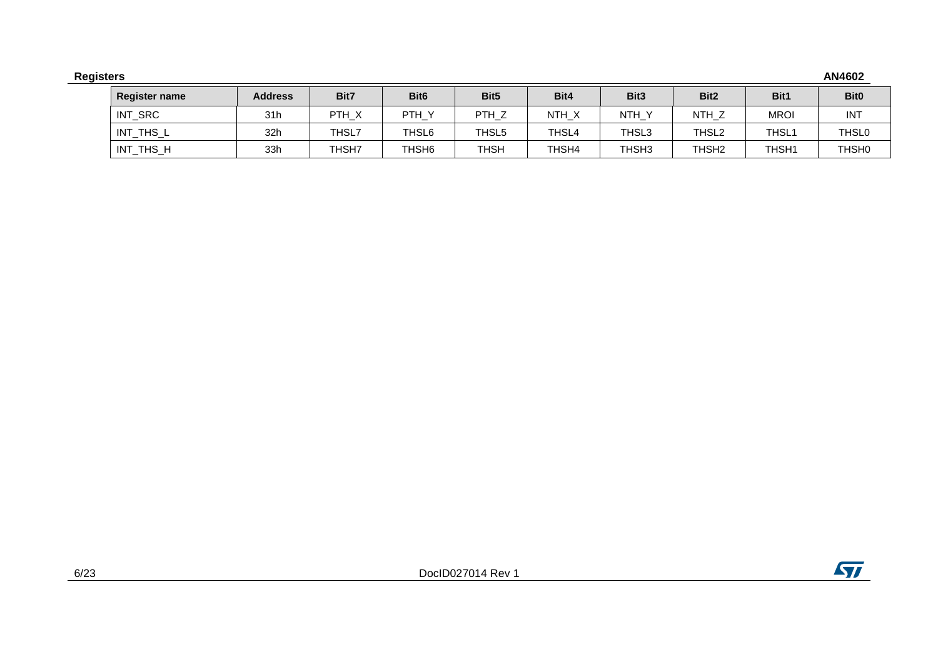| <b>Registers</b>     |                |              |                   |                  |       |                   |                   |                   | AN4602           |
|----------------------|----------------|--------------|-------------------|------------------|-------|-------------------|-------------------|-------------------|------------------|
| <b>Register name</b> | <b>Address</b> | Bit7         | Bit <sub>6</sub>  | Bit <sub>5</sub> | Bit4  | Bit <sub>3</sub>  | Bit <sub>2</sub>  | Bit1              | Bit <sub>0</sub> |
| INT_SRC              | 31h            | PTH_X        | PTH_Y             | PTH_Z            | NTH_X | NTH_Y             | NTH <sub>Z</sub>  | <b>MROI</b>       | <b>INT</b>       |
| INT_THS_L            | 32h            | THSL7        | THSL6             | THSL5            | THSL4 | THSL3             | THSL <sub>2</sub> | THSL <sub>1</sub> | <b>THSL0</b>     |
| INT_THS_H            | 33h            | <b>THSH7</b> | THSH <sub>6</sub> | <b>THSH</b>      | THSH4 | THSH <sub>3</sub> | THSH <sub>2</sub> | THSH <sub>1</sub> | <b>THSHO</b>     |

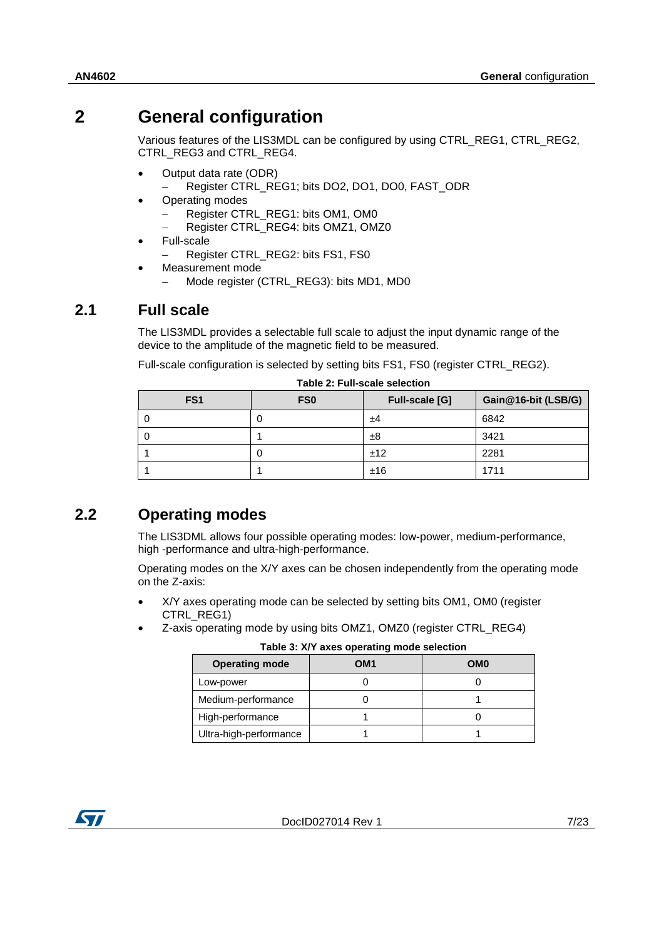### **2 General configuration**

<span id="page-6-0"></span>Various features of the LIS3MDL can be configured by using CTRL\_REG1, CTRL\_REG2, CTRL\_REG3 and CTRL\_REG4.

- Output data rate (ODR)
	- − Register CTRL\_REG1; bits DO2, DO1, DO0, FAST\_ODR
- Operating modes
	- − Register CTRL\_REG1: bits OM1, OM0
	- − Register CTRL\_REG4: bits OMZ1, OMZ0
- Full-scale
	- − Register CTRL\_REG2: bits FS1, FS0
- Measurement mode
	- − Mode register (CTRL\_REG3): bits MD1, MD0

#### **2.1 Full scale**

<span id="page-6-1"></span>The LIS3MDL provides a selectable full scale to adjust the input dynamic range of the device to the amplitude of the magnetic field to be measured.

Full-scale configuration is selected by setting bits FS1, FS0 (register CTRL\_REG2).

<span id="page-6-3"></span>

|                 |                 | Table Z. Full-Scale Selection |                     |
|-----------------|-----------------|-------------------------------|---------------------|
| FS <sub>1</sub> | FS <sub>0</sub> | <b>Full-scale [G]</b>         | Gain@16-bit (LSB/G) |
| υ               |                 | ±4                            | 6842                |
| U               |                 | ±8                            | 3421                |
|                 |                 | ±12                           | 2281                |
|                 |                 | ±16                           | 1711                |

#### **Table 2: Full-scale selection**

#### **2.2 Operating modes**

<span id="page-6-2"></span>The LIS3DML allows four possible operating modes: low-power, medium-performance, high -performance and ultra-high-performance.

Operating modes on the X/Y axes can be chosen independently from the operating mode on the Z-axis:

- X/Y axes operating mode can be selected by setting bits OM1, OM0 (register CTRL\_REG1)
- <span id="page-6-4"></span>• Z-axis operating mode by using bits OMZ1, OMZ0 (register CTRL\_REG4)

**Table 3: X/Y axes operating mode selection**

| <b>Operating mode</b>  | OM <sub>1</sub> | OM <sub>0</sub> |
|------------------------|-----------------|-----------------|
| Low-power              |                 |                 |
| Medium-performance     |                 |                 |
| High-performance       |                 |                 |
| Ultra-high-performance |                 |                 |

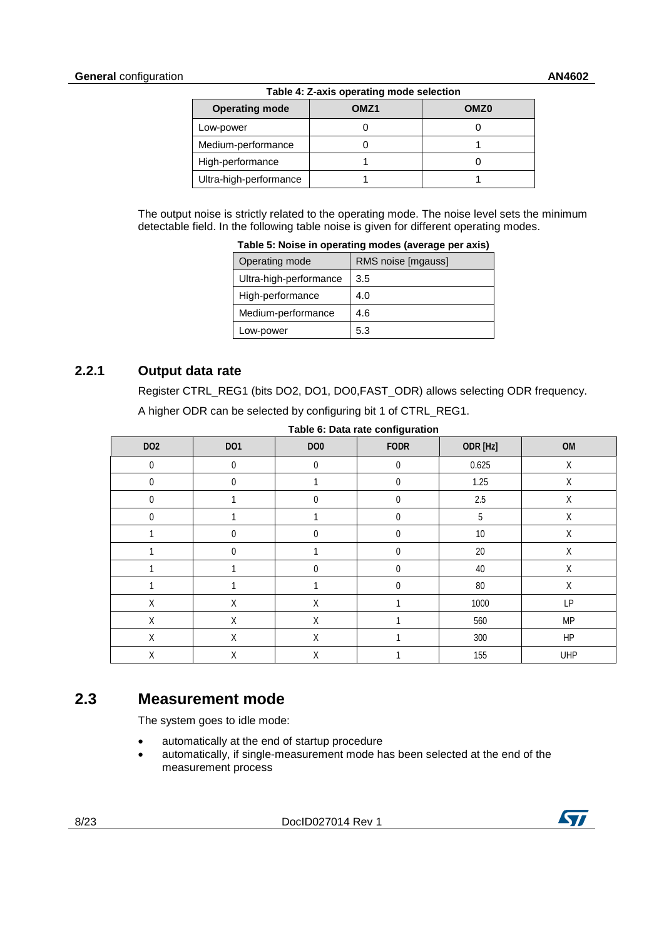<span id="page-7-2"></span>

| <b>Operating mode</b>  | OMZ1 | OMZ <sub>0</sub> |
|------------------------|------|------------------|
| Low-power              |      |                  |
| Medium-performance     |      |                  |
| High-performance       |      |                  |
| Ultra-high-performance |      |                  |

<span id="page-7-3"></span>The output noise is strictly related to the operating mode. The noise level sets the minimum detectable field. In the following table noise is given for different operating modes.

| rable J. Noise in operating inoues (average per axis) |                    |  |  |  |
|-------------------------------------------------------|--------------------|--|--|--|
| Operating mode                                        | RMS noise [mgauss] |  |  |  |
| Ultra-high-performance                                | 3.5                |  |  |  |
| High-performance                                      | 4.0                |  |  |  |
| Medium-performance                                    | 4.6                |  |  |  |
| Low-power                                             | 5.3                |  |  |  |

**Table 5: Noise in operating modes (average per axis)**

#### **2.2.1 Output data rate**

<span id="page-7-0"></span>Register CTRL\_REG1 (bits DO2, DO1, DO0,FAST\_ODR) allows selecting ODR frequency.

<span id="page-7-4"></span>A higher ODR can be selected by configuring bit 1 of CTRL\_REG1.

| DO <sub>2</sub> | DO <sub>1</sub> | DO <sub>0</sub> | <b>FODR</b> | ODR [Hz]   | OM          |
|-----------------|-----------------|-----------------|-------------|------------|-------------|
| $\pmb{0}$       | $\mathbf 0$     | $\pmb{0}$       | $\pmb{0}$   | 0.625      | Χ           |
| 0               | 0               |                 | $\pmb{0}$   | 1.25       | Χ           |
| 0               |                 | 0               | 0           | 2.5        | Χ           |
| 0               |                 |                 | 0           | $\sqrt{5}$ | Χ           |
|                 | 0               | 0               | 0           | $10$       | Χ           |
|                 | 0               |                 | 0           | $20\,$     | Χ           |
|                 |                 | 0               | 0           | 40         | Χ           |
|                 |                 |                 | 0           | 80         | $\mathsf X$ |
| Χ               | Χ               | Χ               |             | 1000       | LP          |
| Χ               | Χ               | Χ               |             | 560        | <b>MP</b>   |
| Χ               | Χ               | Χ               |             | 300        | HP          |
| Χ               | Χ               | Χ               |             | 155        | <b>UHP</b>  |

**Table 6: Data rate configuration**

#### **2.3 Measurement mode**

<span id="page-7-1"></span>The system goes to idle mode:

- automatically at the end of startup procedure
- automatically, if single-measurement mode has been selected at the end of the measurement process

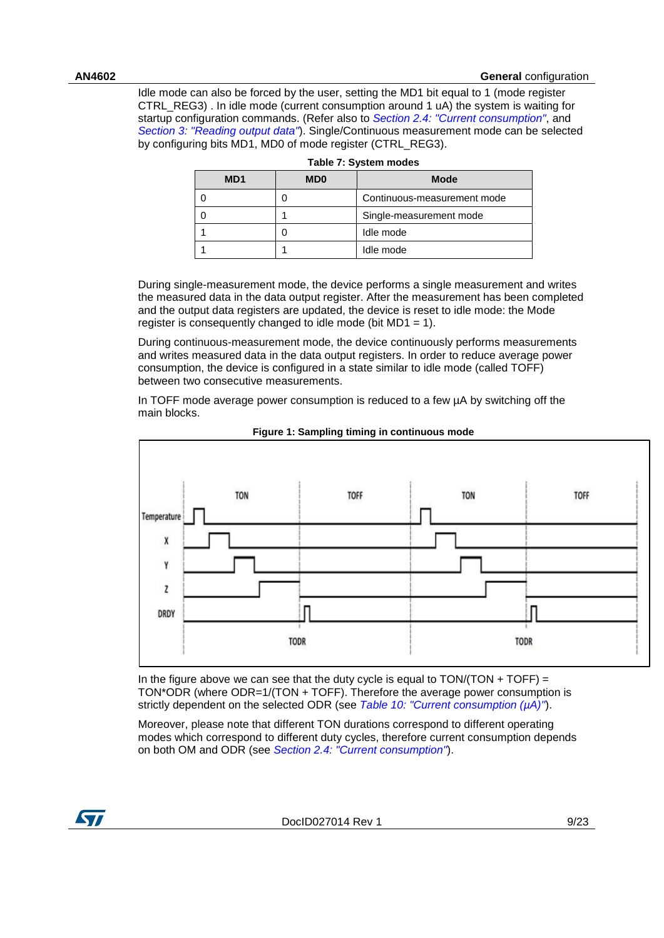Idle mode can also be forced by the user, setting the MD1 bit equal to 1 (mode register CTRL\_REG3) . In idle mode (current consumption around 1 uA) the system is waiting for startup configuration commands. (Refer also to *[Section 2.4: "Current consumption"](#page-10-0)*, and *[Section 3: "Reading output data"](#page-11-0)*). Single/Continuous measurement mode can be selected by configuring bits MD1, MD0 of mode register (CTRL\_REG3).

<span id="page-8-0"></span>

| M <sub>D</sub> 1 | <b>MD0</b> | <b>Mode</b>                 |
|------------------|------------|-----------------------------|
|                  |            | Continuous-measurement mode |
|                  |            | Single-measurement mode     |
|                  |            | Idle mode                   |
|                  |            | Idle mode                   |

| Table 7: System modes |  |  |  |  |
|-----------------------|--|--|--|--|
|-----------------------|--|--|--|--|

During single-measurement mode, the device performs a single measurement and writes the measured data in the data output register. After the measurement has been completed and the output data registers are updated, the device is reset to idle mode: the Mode register is consequently changed to idle mode (bit MD1 = 1).

During continuous-measurement mode, the device continuously performs measurements and writes measured data in the data output registers. In order to reduce average power consumption, the device is configured in a state similar to idle mode (called TOFF) between two consecutive measurements.

In TOFF mode average power consumption is reduced to a few µA by switching off the main blocks.

<span id="page-8-1"></span>

#### **Figure 1: Sampling timing in continuous mode**

In the figure above we can see that the duty cycle is equal to  $TON/(TON + TOFF) =$ TON\*ODR (where ODR=1/(TON + TOFF). Therefore the average power consumption is strictly dependent on the selected ODR (see *[Table 10: "Current consumption \(µA\)"](#page-10-1)*).

Moreover, please note that different TON durations correspond to different operating modes which correspond to different duty cycles, therefore current consumption depends on both OM and ODR (see *[Section 2.4: "Current consumption"](#page-10-0)*).

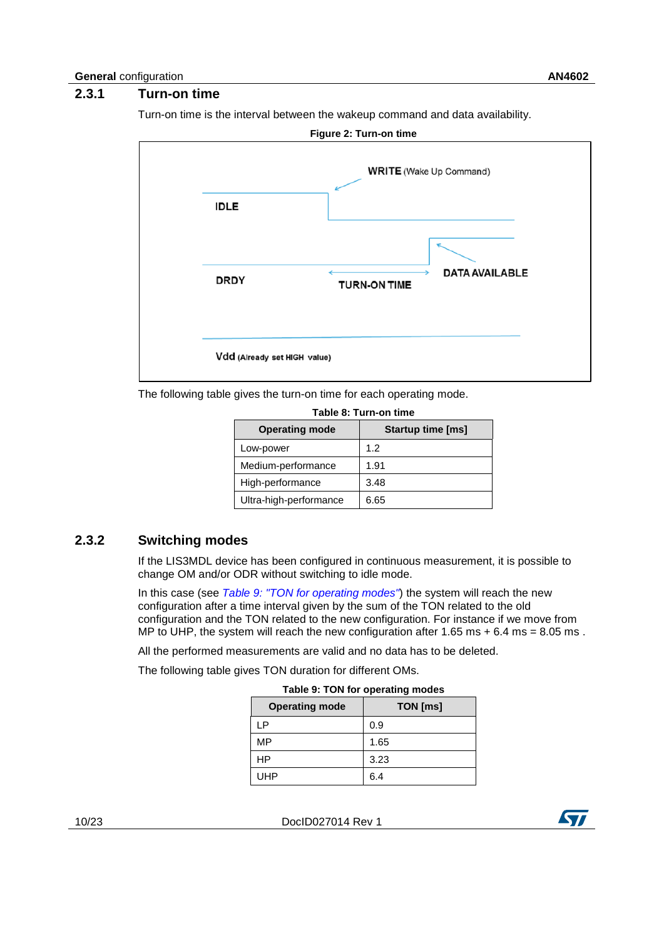#### **2.3.1 Turn-on time**

<span id="page-9-0"></span>Turn-on time is the interval between the wakeup command and data availability.

<span id="page-9-4"></span>

<span id="page-9-2"></span>The following table gives the turn-on time for each operating mode.

| TADIE O. TUTTEUIT UITIE |                          |  |  |  |  |
|-------------------------|--------------------------|--|--|--|--|
| <b>Operating mode</b>   | <b>Startup time [ms]</b> |  |  |  |  |
| Low-power               | 1.2                      |  |  |  |  |
| Medium-performance      | 1.91                     |  |  |  |  |
| High-performance        | 3.48                     |  |  |  |  |
| Ultra-high-performance  | 6.65                     |  |  |  |  |

**Table 8: Turn-on time**

#### **2.3.2 Switching modes**

<span id="page-9-1"></span>If the LIS3MDL device has been configured in continuous measurement, it is possible to change OM and/or ODR without switching to idle mode.

In this case (see *[Table 9: "TON for operating modes"](#page-9-3)*) the system will reach the new configuration after a time interval given by the sum of the TON related to the old configuration and the TON related to the new configuration. For instance if we move from MP to UHP, the system will reach the new configuration after  $1.65 \text{ ms} + 6.4 \text{ ms} = 8.05 \text{ ms}$ .

All the performed measurements are valid and no data has to be deleted.

<span id="page-9-3"></span>The following table gives TON duration for different OMs.

| Table 9: TON for operating modes |          |  |  |  |
|----------------------------------|----------|--|--|--|
| <b>Operating mode</b>            | TON [ms] |  |  |  |
| LΡ                               | 0.9      |  |  |  |
| MP                               | 1.65     |  |  |  |
| HP                               | 3.23     |  |  |  |
| <b>I IHP</b>                     |          |  |  |  |

10/23 DocID027014 Rev 1

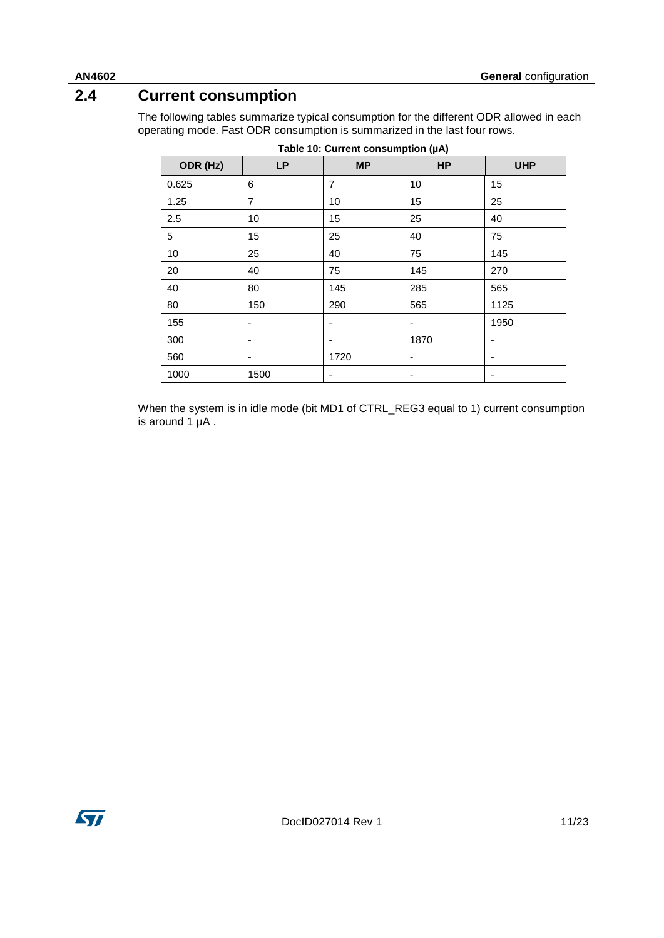### **2.4 Current consumption**

<span id="page-10-0"></span>The following tables summarize typical consumption for the different ODR allowed in each operating mode. Fast ODR consumption is summarized in the last four rows.

<span id="page-10-1"></span>

| Table 10: Current consumption (µA) |           |           |           |                          |  |
|------------------------------------|-----------|-----------|-----------|--------------------------|--|
| ODR (Hz)                           | <b>LP</b> | <b>MP</b> | <b>HP</b> | <b>UHP</b>               |  |
| 0.625                              | 6         | 7         | 10        | 15                       |  |
| 1.25                               | 7         | 10        | 15        | 25                       |  |
| 2.5                                | 10        | 15        | 25        | 40                       |  |
| 5                                  | 15        | 25        | 40        | 75                       |  |
| 10                                 | 25        | 40        | 75        | 145                      |  |
| 20                                 | 40        | 75        | 145       | 270                      |  |
| 40                                 | 80        | 145       | 285       | 565                      |  |
| 80                                 | 150       | 290       | 565       | 1125                     |  |
| 155                                | ٠         | ۰         | -         | 1950                     |  |
| 300                                |           |           | 1870      | $\overline{\phantom{a}}$ |  |
| 560                                |           | 1720      | -         | ٠                        |  |
| 1000                               | 1500      | ۰         | -         | ٠                        |  |

When the system is in idle mode (bit MD1 of CTRL\_REG3 equal to 1) current consumption is around  $1 \mu$ A.



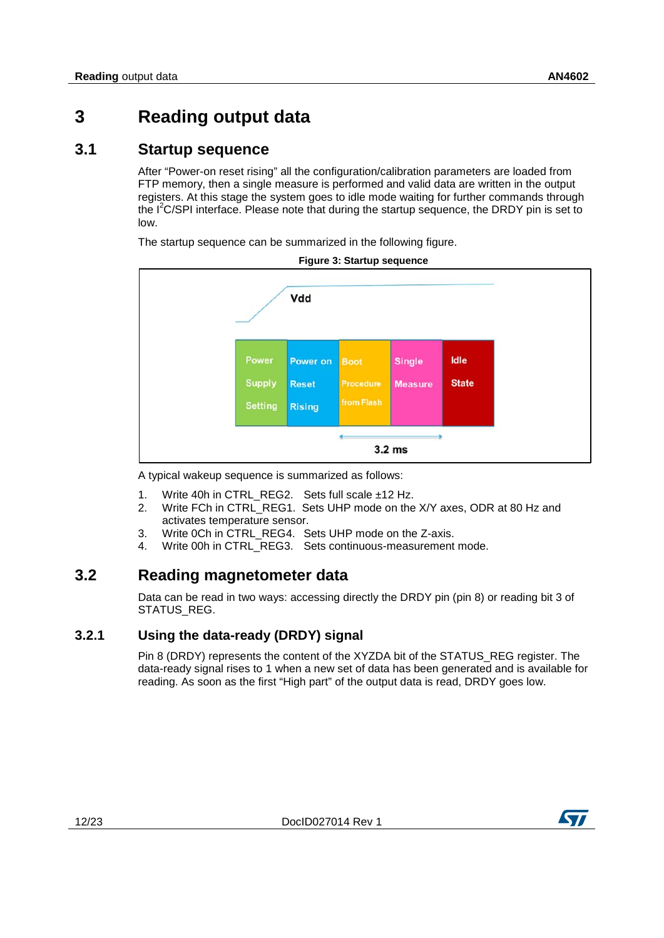### <span id="page-11-0"></span>**3 Reading output data**

#### **3.1 Startup sequence**

<span id="page-11-1"></span>After "Power-on reset rising" all the configuration/calibration parameters are loaded from FTP memory, then a single measure is performed and valid data are written in the output registers. At this stage the system goes to idle mode waiting for further commands through the I<sup>2</sup>C/SPI interface. Please note that during the startup sequence, the DRDY pin is set to low.

The startup sequence can be summarized in the following figure.

<span id="page-11-4"></span>

**Figure 3: Startup sequence**

A typical wakeup sequence is summarized as follows:

- 1. Write 40h in CTRL\_REG2. Sets full scale ±12 Hz.
- 2. Write FCh in CTRL REG1. Sets UHP mode on the X/Y axes, ODR at 80 Hz and activates temperature sensor.
- 3. Write 0Ch in CTRL\_REG4. Sets UHP mode on the Z-axis.
- <span id="page-11-2"></span>4. Write 00h in CTRL REG3. Sets continuous-measurement mode.

#### **3.2 Reading magnetometer data**

Data can be read in two ways: accessing directly the DRDY pin (pin 8) or reading bit 3 of STATUS\_REG.

#### **3.2.1 Using the data-ready (DRDY) signal**

<span id="page-11-3"></span>Pin 8 (DRDY) represents the content of the XYZDA bit of the STATUS REG register. The data-ready signal rises to 1 when a new set of data has been generated and is available for reading. As soon as the first "High part" of the output data is read, DRDY goes low.

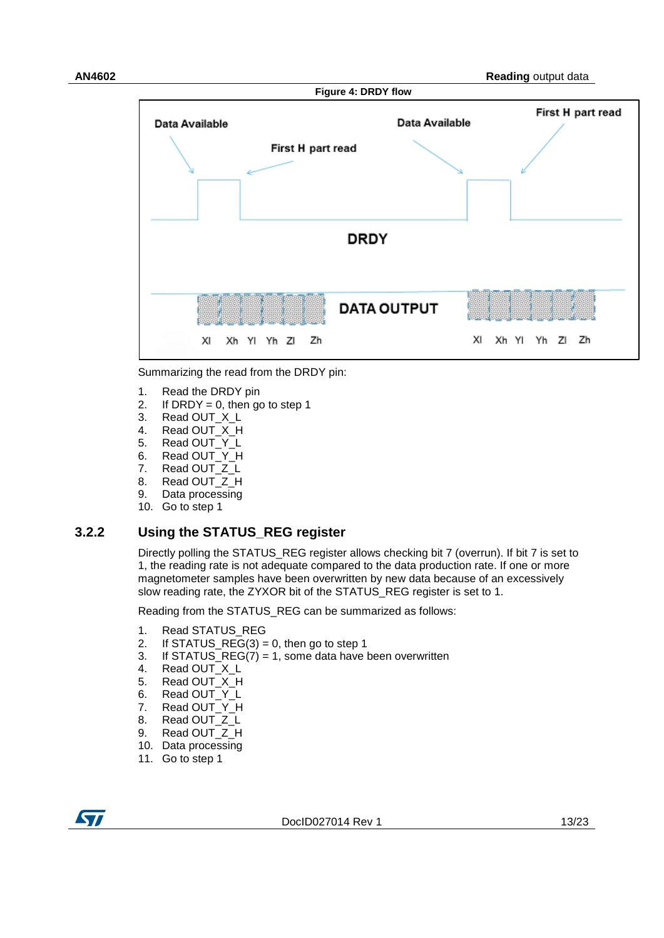<span id="page-12-1"></span>

Summarizing the read from the DRDY pin:

- 1. Read the DRDY pin
- 2. If DRDY = 0, then go to step 1<br>3. Read OUT  $X \perp$
- Read OUT\_X\_L
- 4. Read OUT\_X\_H
- 5. Read OUT\_Y\_L<br>6. Read OUT Y H
- Read OUT\_Y\_H
- 7. Read OUT\_Z\_L
- 8. Read OUT\_Z\_H<br>9. Data processing
- Data processing
- <span id="page-12-0"></span>10. Go to step 1

#### **3.2.2 Using the STATUS\_REG register**

Directly polling the STATUS\_REG register allows checking bit 7 (overrun). If bit 7 is set to 1, the reading rate is not adequate compared to the data production rate. If one or more magnetometer samples have been overwritten by new data because of an excessively slow reading rate, the ZYXOR bit of the STATUS\_REG register is set to 1.

Reading from the STATUS\_REG can be summarized as follows:

- 1. Read STATUS REG
- 2. If STATUS\_REG(3) = 0, then go to step 1<br>3. If STATUS REG(7) = 1, some data have l
- If STATUS\_REG(7) = 1, some data have been overwritten
- 4. Read OUT X L
- 
- 5. Read OUT\_X\_H<br>6. Read OUT Y L Read OUT\_Y\_L
- 7. Read OUT\_Y\_H
- 
- 8. Read OUT\_Z\_L<br>9. Read OUT\_Z\_H Read OUT\_Z\_H
- 10. Data processing
- 11. Go to step 1
- ST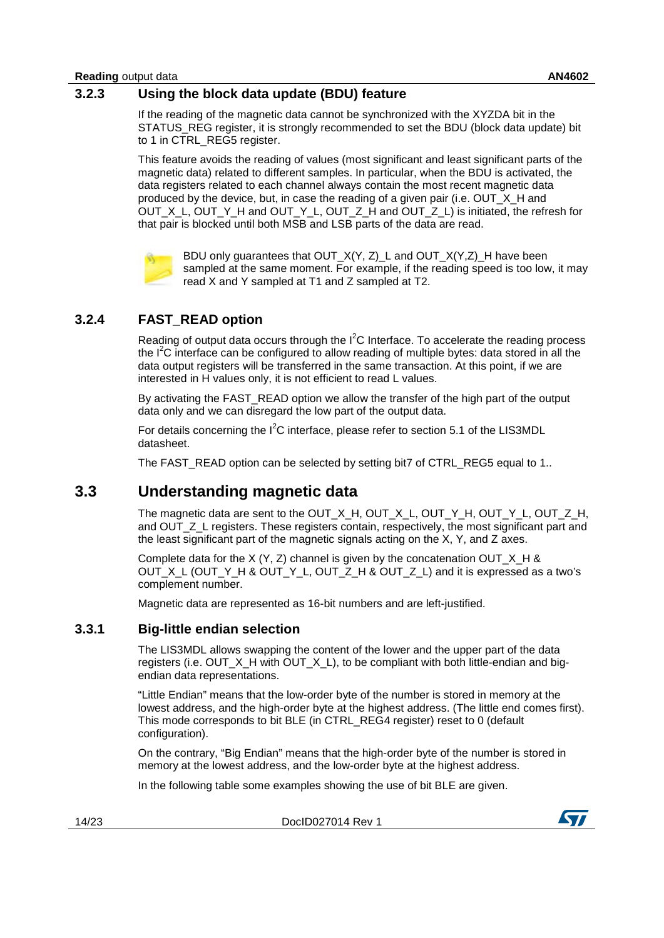<span id="page-13-0"></span>If the reading of the magnetic data cannot be synchronized with the XYZDA bit in the STATUS REG register, it is strongly recommended to set the BDU (block data update) bit to 1 in CTRL\_REG5 register.

This feature avoids the reading of values (most significant and least significant parts of the magnetic data) related to different samples. In particular, when the BDU is activated, the data registers related to each channel always contain the most recent magnetic data produced by the device, but, in case the reading of a given pair (i.e. OUT\_X\_H and OUT\_X\_L, OUT\_Y\_H and OUT\_Y\_L, OUT\_Z\_H and OUT\_Z\_L) is initiated, the refresh for that pair is blocked until both MSB and LSB parts of the data are read.



BDU only guarantees that OUT\_X(Y, Z)\_L and OUT\_X(Y,Z)\_H have been sampled at the same moment. For example, if the reading speed is too low, it may read X and Y sampled at T1 and Z sampled at T2.

#### **3.2.4 FAST\_READ option**

<span id="page-13-1"></span>Reading of output data occurs through the  $I^2C$  Interface. To accelerate the reading process the  $I^2C$  interface can be configured to allow reading of multiple bytes: data stored in all the data output registers will be transferred in the same transaction. At this point, if we are interested in H values only, it is not efficient to read L values.

By activating the FAST\_READ option we allow the transfer of the high part of the output data only and we can disregard the low part of the output data.

For details concerning the  $I^2C$  interface, please refer to section 5.1 of the LIS3MDL datasheet.

<span id="page-13-2"></span>The FAST\_READ option can be selected by setting bit7 of CTRL\_REG5 equal to 1..

#### **3.3 Understanding magnetic data**

The magnetic data are sent to the OUT\_X\_H, OUT\_X\_L, OUT\_Y\_H, OUT\_Y\_L, OUT\_Z\_H, and OUT\_Z\_L registers. These registers contain, respectively, the most significant part and the least significant part of the magnetic signals acting on the X, Y, and Z axes.

Complete data for the  $X$  (Y, Z) channel is given by the concatenation OUT  $X$  H & OUT X L (OUT Y H & OUT Y L, OUT Z H & OUT Z L) and it is expressed as a two's complement number.

<span id="page-13-3"></span>Magnetic data are represented as 16-bit numbers and are left-justified.

#### **3.3.1 Big-little endian selection**

The LIS3MDL allows swapping the content of the lower and the upper part of the data registers (i.e. OUT  $X$  H with OUT  $X$  L), to be compliant with both little-endian and bigendian data representations.

"Little Endian" means that the low-order byte of the number is stored in memory at the lowest address, and the high-order byte at the highest address. (The little end comes first). This mode corresponds to bit BLE (in CTRL\_REG4 register) reset to 0 (default configuration).

On the contrary, "Big Endian" means that the high-order byte of the number is stored in memory at the lowest address, and the low-order byte at the highest address.

In the following table some examples showing the use of bit BLE are given.

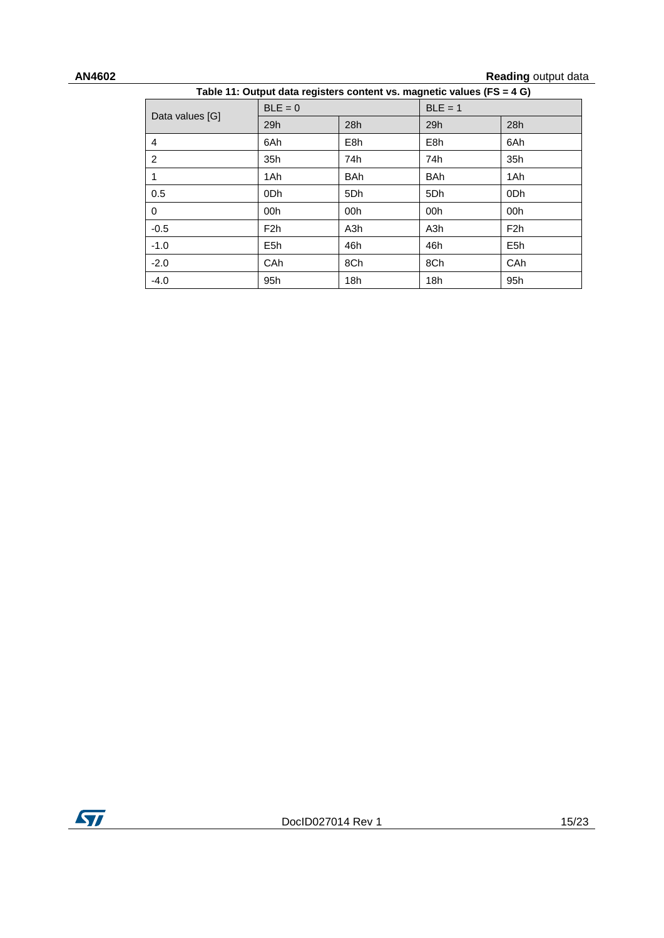### **AN4602 Reading** output data

<span id="page-14-0"></span>

| Table 11: Output data registers content vs. magnetic values (FS = 4 G) |                  |                  |                  |                  |  |
|------------------------------------------------------------------------|------------------|------------------|------------------|------------------|--|
|                                                                        | $BLE = 0$        | $BLE = 1$        |                  |                  |  |
| Data values [G]                                                        | 29h              | 28h              | 29h              | 28h              |  |
| 4                                                                      | 6Ah              | E <sub>8</sub> h | E <sub>8</sub> h | 6Ah              |  |
| $\overline{2}$                                                         | 35h              | 74h              | 74h              | 35h              |  |
| 1                                                                      | 1Ah              | <b>BAh</b>       | <b>BAh</b>       | 1Ah              |  |
| 0.5                                                                    | 0Dh              | 5Dh              | 5Dh              | 0Dh              |  |
| $\Omega$                                                               | 00h              | 00h              | 00h              | 00h              |  |
| $-0.5$                                                                 | F2h              | A <sub>3</sub> h | A <sub>3</sub> h | F2h              |  |
| $-1.0$                                                                 | E <sub>5</sub> h | 46h              | 46h              | E <sub>5</sub> h |  |
| $-2.0$                                                                 | CAh              | 8Ch              | 8Ch              | <b>CAh</b>       |  |
| $-4.0$                                                                 | 95h              | 18h              | 18h              | 95h              |  |

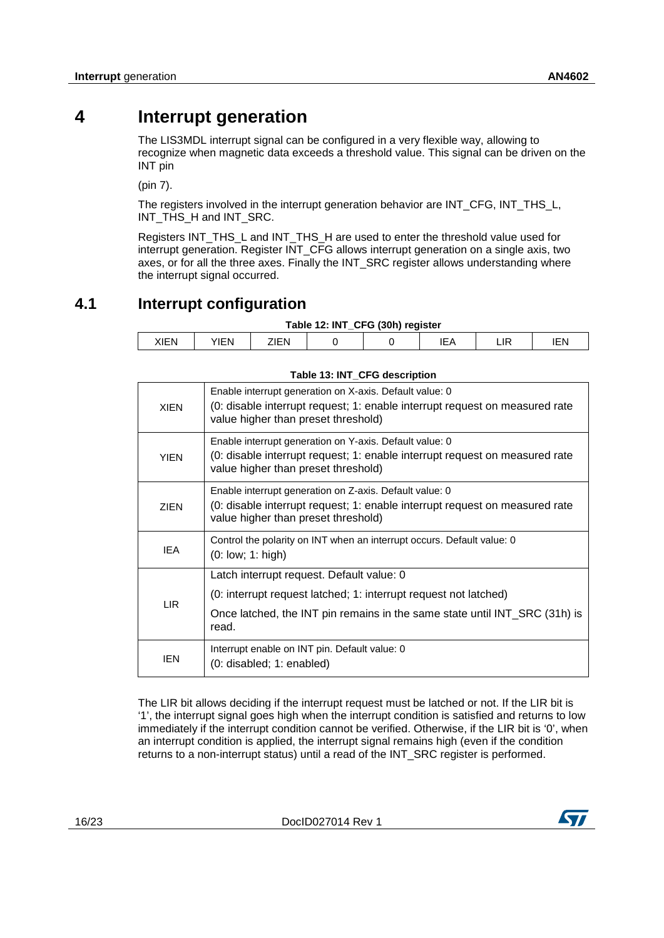### **4 Interrupt generation**

<span id="page-15-0"></span>The LIS3MDL interrupt signal can be configured in a very flexible way, allowing to recognize when magnetic data exceeds a threshold value. This signal can be driven on the INT pin

(pin 7).

The registers involved in the interrupt generation behavior are INT\_CFG, INT\_THS\_L, INT\_THS\_H and INT\_SRC.

Registers INT\_THS\_L and INT\_THS\_H are used to enter the threshold value used for interrupt generation. Register INT\_CFG allows interrupt generation on a single axis, two axes, or for all the three axes. Finally the INT\_SRC register allows understanding where the interrupt signal occurred.

### **4.1 Interrupt configuration**

<span id="page-15-2"></span><span id="page-15-1"></span>

| Table 12: INT_CFG (30h) register |            |      |  |  |  |  |     |
|----------------------------------|------------|------|--|--|--|--|-----|
| XIEN                             | <b>TEN</b> | 7IFN |  |  |  |  | エロト |

<span id="page-15-3"></span>

|             | $1$ able 10. INT OF 0 acsorband                                                                                                                                               |
|-------------|-------------------------------------------------------------------------------------------------------------------------------------------------------------------------------|
| <b>XIEN</b> | Enable interrupt generation on X-axis. Default value: 0<br>(0: disable interrupt request; 1: enable interrupt request on measured rate<br>value higher than preset threshold) |
| <b>YIEN</b> | Enable interrupt generation on Y-axis. Default value: 0<br>(0: disable interrupt request; 1: enable interrupt request on measured rate<br>value higher than preset threshold) |
| <b>ZIEN</b> | Enable interrupt generation on Z-axis. Default value: 0<br>(0: disable interrupt request; 1: enable interrupt request on measured rate<br>value higher than preset threshold) |
| <b>IEA</b>  | Control the polarity on INT when an interrupt occurs. Default value: 0<br>$(0:$ low; $1:$ high)                                                                               |
|             | Latch interrupt request. Default value: 0                                                                                                                                     |
| LIR.        | (0: interrupt request latched; 1: interrupt request not latched)                                                                                                              |
|             | Once latched, the INT pin remains in the same state until INT_SRC (31h) is<br>read.                                                                                           |
| IEN         | Interrupt enable on INT pin. Default value: 0<br>(0: disabled; 1: enabled)                                                                                                    |

#### **Table 13: INT\_CFG description**

The LIR bit allows deciding if the interrupt request must be latched or not. If the LIR bit is '1', the interrupt signal goes high when the interrupt condition is satisfied and returns to low immediately if the interrupt condition cannot be verified. Otherwise, if the LIR bit is '0', when an interrupt condition is applied, the interrupt signal remains high (even if the condition returns to a non-interrupt status) until a read of the INT\_SRC register is performed.

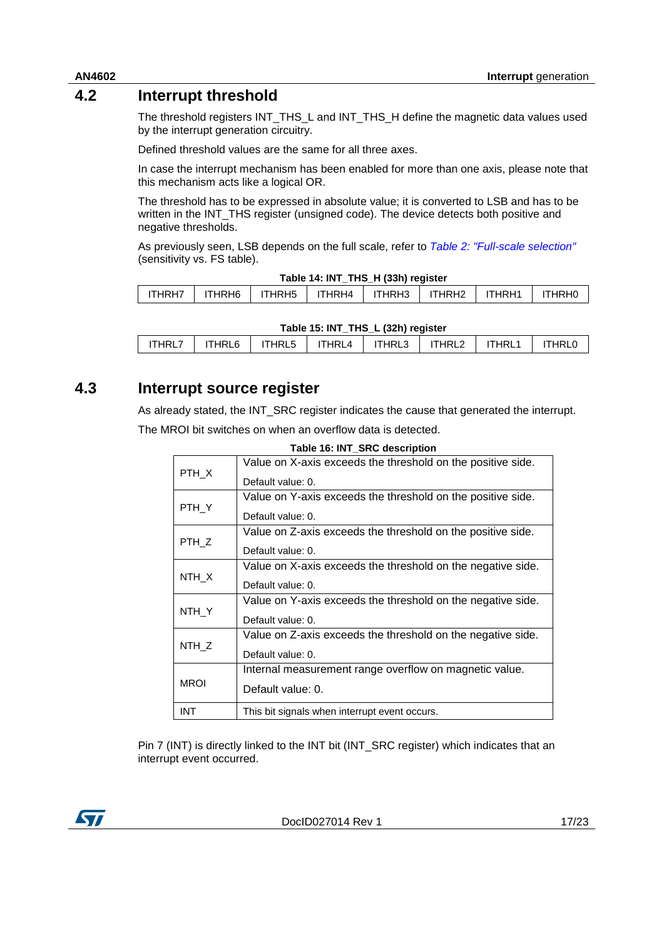#### **4.2 Interrupt threshold**

<span id="page-16-0"></span>The threshold registers INT\_THS\_L and INT\_THS\_H define the magnetic data values used by the interrupt generation circuitry.

Defined threshold values are the same for all three axes.

In case the interrupt mechanism has been enabled for more than one axis, please note that this mechanism acts like a logical OR.

The threshold has to be expressed in absolute value; it is converted to LSB and has to be written in the INT\_THS register (unsigned code). The device detects both positive and negative thresholds.

As previously seen, LSB depends on the full scale, refer to *[Table 2: "Full-scale selection"](#page-6-3)* (sensitivity vs. FS table).

<span id="page-16-2"></span>

| Table 14: INT THS H (33h) register |          |                    |        |        |        |        |               |
|------------------------------------|----------|--------------------|--------|--------|--------|--------|---------------|
| ITHRH7                             | ITHRH6 I | ITHRH <sub>5</sub> | ITHRH4 | ITHRH3 | ITHRH2 | ITHRH1 | <b>ITHRHO</b> |
|                                    |          |                    |        |        |        |        |               |

|                                                                                 |  |  |  | IIHRH/ I IIHRH6 I IIHRH5 I IIHRH4 I IIHRH3 I IIHRH2 I IIHRH1 I IIHRH0 |  |  |  |
|---------------------------------------------------------------------------------|--|--|--|-----------------------------------------------------------------------|--|--|--|
|                                                                                 |  |  |  |                                                                       |  |  |  |
| $T$ , i.i., $A = 1$ , $B = 1$ , $B = 1$ , $C = 1$ , $A = 1$ , $A = 1$ , $A = 1$ |  |  |  |                                                                       |  |  |  |

<span id="page-16-3"></span>

| Table 15: INT THS L (32h) register |  |  |  |  |                                                              |  |  |
|------------------------------------|--|--|--|--|--------------------------------------------------------------|--|--|
| <b>ITHRL7</b>                      |  |  |  |  | ITHRL6   ITHRL5   ITHRL4   ITHRL3   ITHRL2   ITHRL1   ITHRL0 |  |  |

#### **4.3 Interrupt source register**

<span id="page-16-4"></span><span id="page-16-1"></span>As already stated, the INT\_SRC register indicates the cause that generated the interrupt. The MROI bit switches on when an overflow data is detected.

|             | Value on X-axis exceeds the threshold on the positive side. |
|-------------|-------------------------------------------------------------|
| PTH X       | Default value: 0.                                           |
|             | Value on Y-axis exceeds the threshold on the positive side. |
| PTH_Y       | Default value: 0.                                           |
|             | Value on Z-axis exceeds the threshold on the positive side. |
| PTH_Z       | Default value: 0.                                           |
|             | Value on X-axis exceeds the threshold on the negative side. |
| NTH_X       | Default value: 0.                                           |
|             | Value on Y-axis exceeds the threshold on the negative side. |
| NTH Y       | Default value: 0.                                           |
|             | Value on Z-axis exceeds the threshold on the negative side. |
| NTH_Z       | Default value: 0.                                           |
|             | Internal measurement range overflow on magnetic value.      |
| <b>MROI</b> | Default value: 0.                                           |
| <b>INT</b>  | This bit signals when interrupt event occurs.               |

**Table 16: INT\_SRC description**

Pin 7 (INT) is directly linked to the INT bit (INT\_SRC register) which indicates that an interrupt event occurred.

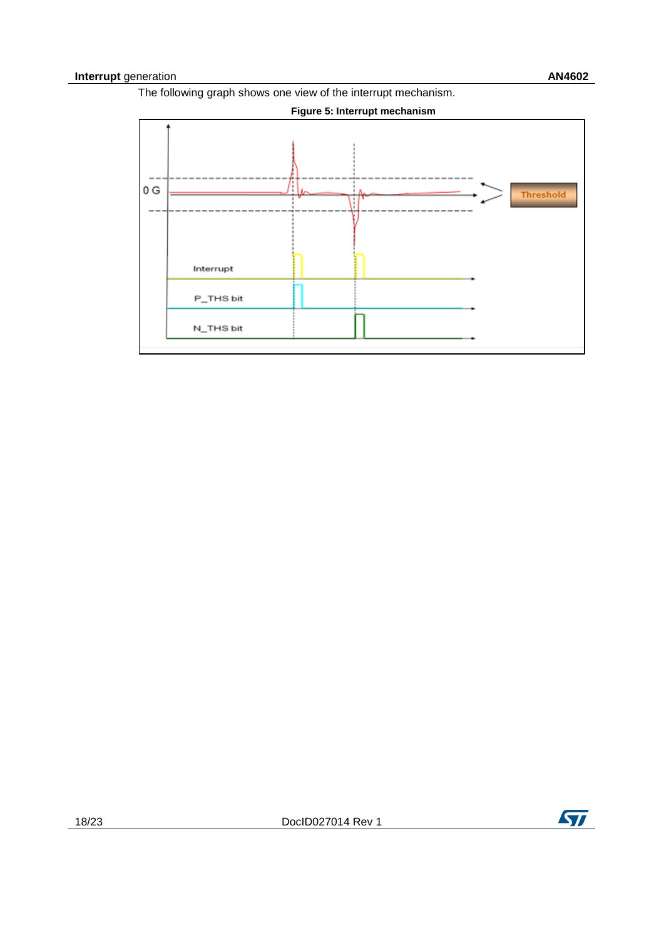The following graph shows one view of the interrupt mechanism.

<span id="page-17-0"></span>

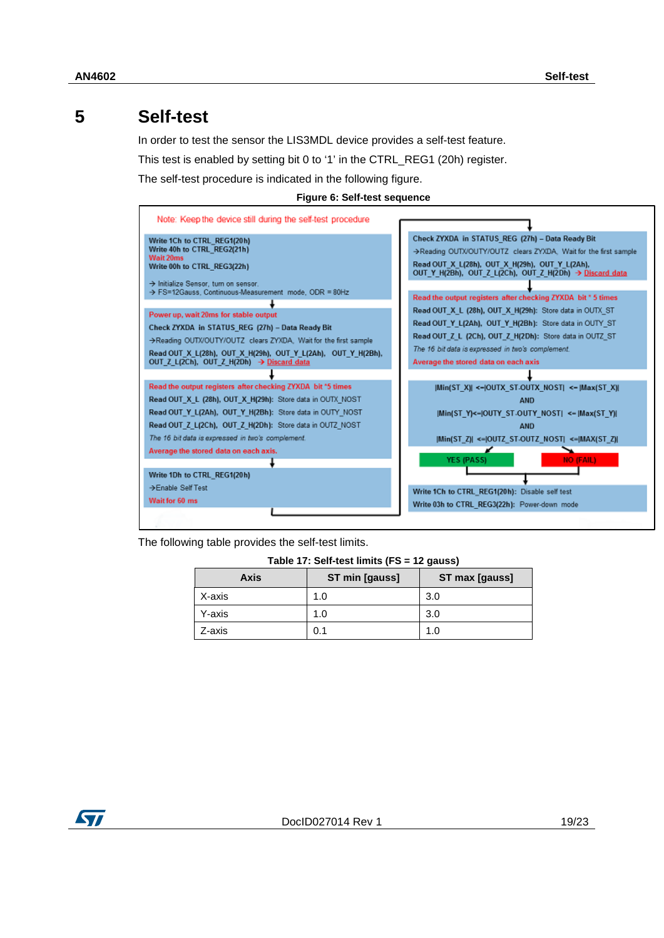### **5 Self-test**

<span id="page-18-0"></span>In order to test the sensor the LIS3MDL device provides a self-test feature.

This test is enabled by setting bit 0 to '1' in the CTRL\_REG1 (20h) register.

<span id="page-18-2"></span>The self-test procedure is indicated in the following figure.



| Note: Keep the device still during the self-test procedure                                             |                                                                                                                                                                                                                                  |
|--------------------------------------------------------------------------------------------------------|----------------------------------------------------------------------------------------------------------------------------------------------------------------------------------------------------------------------------------|
| Write 1Ch to CTRL REG1(20h)<br>Write 40h to CTRL REG2(21h)<br>Wait 20ms<br>Write 00h to CTRL REG3(22h) | Check ZYXDA in STATUS REG (27h) - Data Ready Bit<br>>Reading OUTX/OUTY/OUTZ clears ZYXDA. Wait for the first sample<br>Read OUT X L(28h), OUT X H(29h), OUT Y L(2Ah),<br>OUT Y H(2Bh), OUT Z L(2Ch), OUT Z H(2Dh) → Discard data |
| > Initialize Sensor, turn on sensor,<br>> FS=12Gauss, Continuous-Measurement mode, ODR = 80Hz          | Read the output registers after checking ZYXDA bit * 5 times                                                                                                                                                                     |
|                                                                                                        | Read OUT X L (28h), OUT X H(29h): Store data in OUTX ST                                                                                                                                                                          |
| Power up, wait 20ms for stable output                                                                  |                                                                                                                                                                                                                                  |
| Check ZYXDA in STATUS REG (27h) - Data Ready Bit                                                       | Read OUT Y L(2Ah), OUT Y H(2Bh): Store data in OUTY ST                                                                                                                                                                           |
| >Reading OUTX/OUTY/OUTZ clears ZYXDA. Wait for the first sample                                        | Read OUT Z L (2Ch), OUT Z H(2Dh): Store data in OUTZ ST                                                                                                                                                                          |
| Read OUT_X_L(28h), OUT_X_H(29h), OUT_Y_L(2Ah), OUT_Y_H(2Bh),                                           | The 16 bit data is expressed in two's complement.                                                                                                                                                                                |
| OUT Z L(2Ch), OUT Z H(2Dh) → Discard data                                                              | Average the stored data on each axis                                                                                                                                                                                             |
|                                                                                                        |                                                                                                                                                                                                                                  |
| Read the output registers after checking ZYXDA bit *5 times                                            | Min(ST X)  <-  OUTX ST-OUTX NOST  <-  Max(ST X)                                                                                                                                                                                  |
| Read OUT X L (28h), OUT X H(29h): Store data in OUTX NOST                                              | <b>AND</b>                                                                                                                                                                                                                       |
| Read OUT Y L(2Ah), OUT Y H(2Bh): Store data in OUTY NOST                                               | [Min(ST Y)<= OUTY ST-OUTY NOST  <=  Max(ST Y)                                                                                                                                                                                    |
| Read OUT Z L(2Ch), OUT Z H(2Dh): Store data in OUTZ NOST                                               | <b>AND</b>                                                                                                                                                                                                                       |
| The 16 bit data is expressed in two's complement.                                                      | $ Min(ST_Z  \leq  OUTZ_ST-OUTZ_NOST  \leq  MAX(ST_Z )$                                                                                                                                                                           |
| Average the stored data on each axis.                                                                  |                                                                                                                                                                                                                                  |
|                                                                                                        | <b>YES (PASS)</b><br><b>NO (FAIL)</b>                                                                                                                                                                                            |
| Write 1Dh to CTRL_REG1(20h)                                                                            |                                                                                                                                                                                                                                  |
| →Enable Self Test                                                                                      | Write 1Ch to CTRL REG1(20h): Disable self test                                                                                                                                                                                   |
| Wait for 60 ms                                                                                         | Write 03h to CTRL_REG3(22h): Power-down_mode                                                                                                                                                                                     |
|                                                                                                        |                                                                                                                                                                                                                                  |

<span id="page-18-1"></span>The following table provides the self-test limits.

| Axis   | ST min [gauss] | ST max [gauss] |
|--------|----------------|----------------|
| X-axis | 1.0            | 3.0            |
| Y-axis | 1.0            | 3.0            |
| Z-axis | 0.1            | 11             |

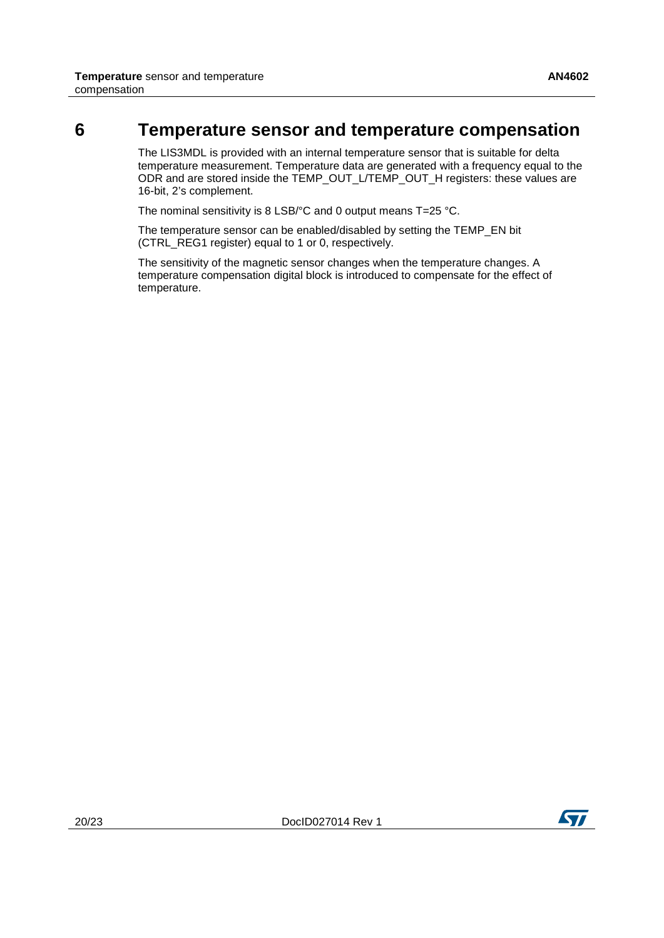#### **6 Temperature sensor and temperature compensation**

<span id="page-19-0"></span>The LIS3MDL is provided with an internal temperature sensor that is suitable for delta temperature measurement. Temperature data are generated with a frequency equal to the ODR and are stored inside the TEMP\_OUT\_L/TEMP\_OUT\_H registers: these values are 16-bit, 2's complement.

The nominal sensitivity is 8 LSB/°C and 0 output means T=25 °C.

The temperature sensor can be enabled/disabled by setting the TEMP\_EN bit (CTRL\_REG1 register) equal to 1 or 0, respectively.

The sensitivity of the magnetic sensor changes when the temperature changes. A temperature compensation digital block is introduced to compensate for the effect of temperature.

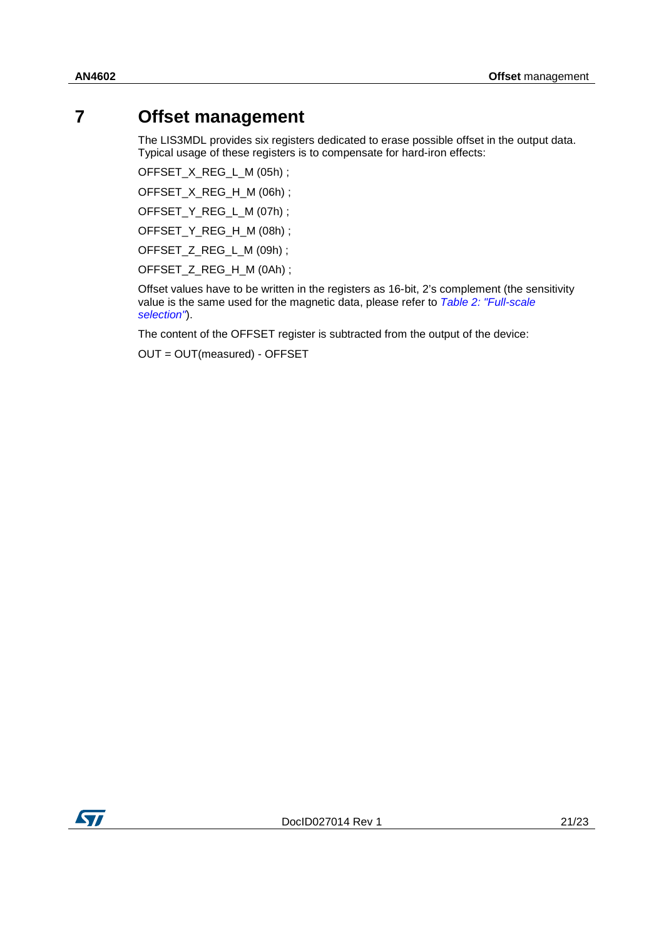### **7 Offset management**

<span id="page-20-0"></span>The LIS3MDL provides six registers dedicated to erase possible offset in the output data. Typical usage of these registers is to compensate for hard-iron effects:

OFFSET\_X\_REG\_L\_M (05h) ;

OFFSET\_X\_REG\_H\_M (06h) ;

OFFSET\_Y\_REG\_L\_M (07h) ;

OFFSET\_Y\_REG\_H\_M (08h) ;

OFFSET\_Z\_REG\_L\_M (09h) ;

OFFSET\_Z\_REG\_H\_M (0Ah) ;

Offset values have to be written in the registers as 16-bit, 2's complement (the sensitivity value is the same used for the magnetic data, please refer to *[Table 2: "Full-scale](#page-6-3)  [selection"](#page-6-3)*).

The content of the OFFSET register is subtracted from the output of the device:

OUT = OUT(measured) - OFFSET

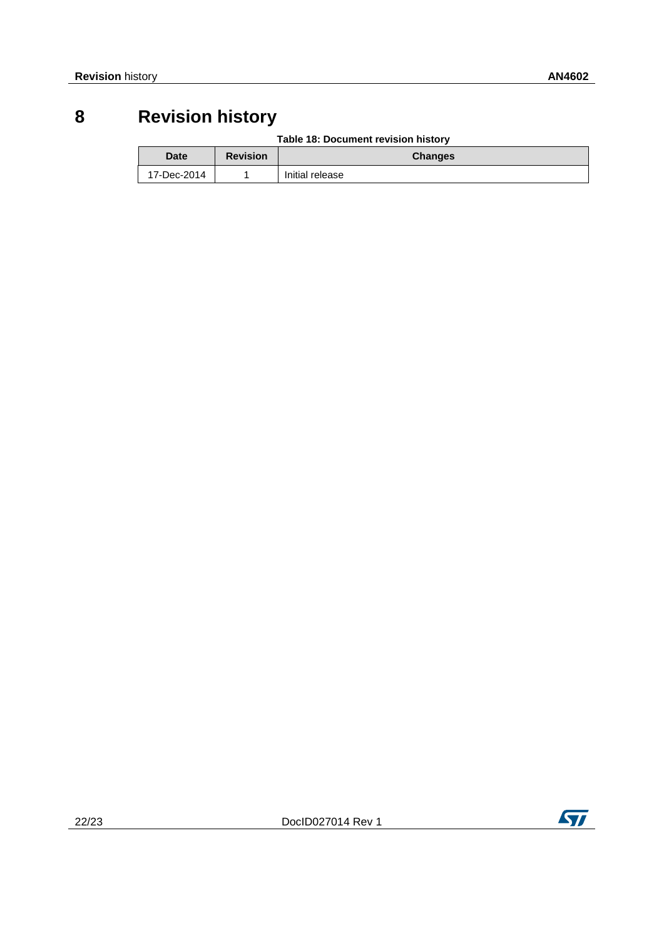### **8 Revision history**

#### **Table 18: Document revision history**

<span id="page-21-1"></span><span id="page-21-0"></span>

| Date        | <b>Revision</b> | <b>Changes</b>  |  |
|-------------|-----------------|-----------------|--|
| 17-Dec-2014 |                 | Initial release |  |